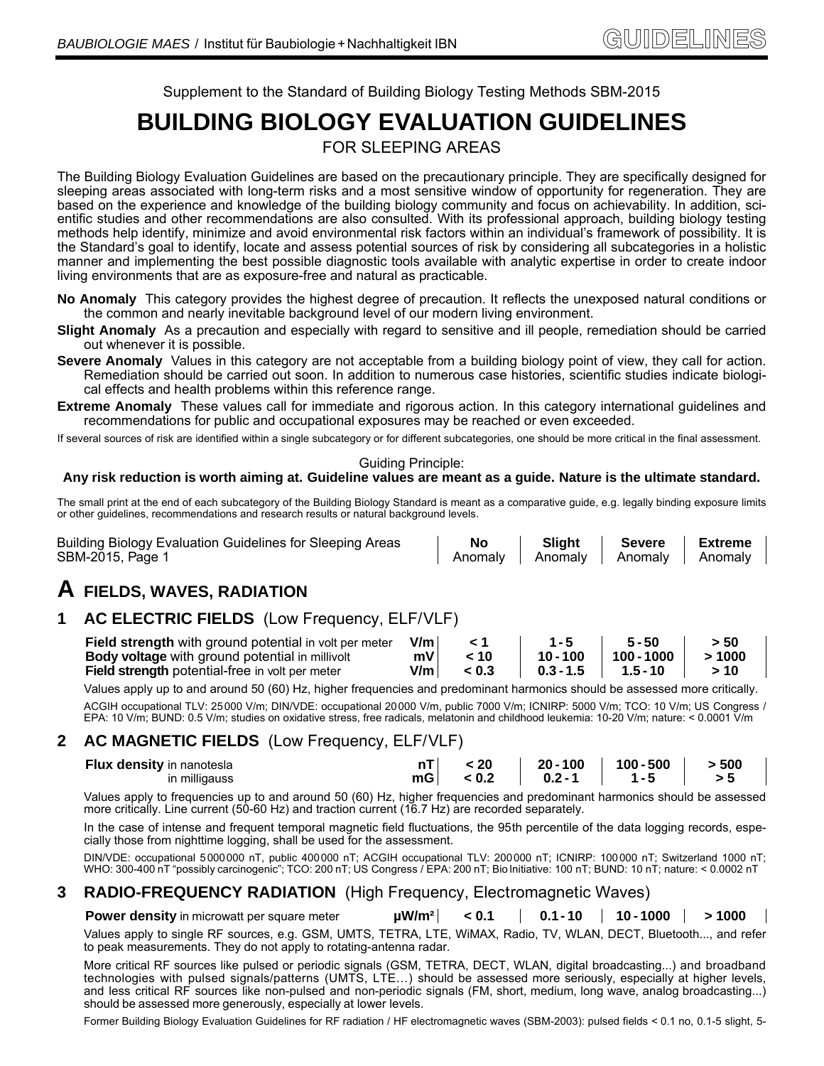Supplement to the Standard of Building Biology Testing Methods SBM-2015

# **BUILDING BIOLOGY EVALUATION GUIDELINES**

### FOR SLEEPING AREAS

The Building Biology Evaluation Guidelines are based on the precautionary principle. They are specifically designed for sleeping areas associated with long-term risks and a most sensitive window of opportunity for regeneration. They are based on the experience and knowledge of the building biology community and focus on achievability. In addition, scientific studies and other recommendations are also consulted. With its professional approach, building biology testing methods help identify, minimize and avoid environmental risk factors within an individual's framework of possibility. It is the Standard's goal to identify, locate and assess potential sources of risk by considering all subcategories in a holistic manner and implementing the best possible diagnostic tools available with analytic expertise in order to create indoor living environments that are as exposure-free and natural as practicable.

- **No Anomaly** This category provides the highest degree of precaution. It reflects the unexposed natural conditions or the common and nearly inevitable background level of our modern living environment.
- **Slight Anomaly** As a precaution and especially with regard to sensitive and ill people, remediation should be carried out whenever it is possible.
- **Severe Anomaly** Values in this category are not acceptable from a building biology point of view, they call for action. Remediation should be carried out soon. In addition to numerous case histories, scientific studies indicate biological effects and health problems within this reference range.
- **Extreme Anomaly** These values call for immediate and rigorous action. In this category international guidelines and recommendations for public and occupational exposures may be reached or even exceeded.

If several sources of risk are identified within a single subcategory or for different subcategories, one should be more critical in the final assessment.

Guiding Principle:

#### **Any risk reduction is worth aiming at. Guideline values are meant as a guide. Nature is the ultimate standard.**

The small print at the end of each subcategory of the Building Biology Standard is meant as a comparative guide, e.g. legally binding exposure limits or other guidelines, recommendations and research results or natural background levels.

| <b>Building Biology Evaluation Guidelines for Sleeping Areas</b> | No | Slight   Severe   Extreme             |  |
|------------------------------------------------------------------|----|---------------------------------------|--|
| SBM-2015, Page 1                                                 |    | Anomaly   Anomaly   Anomaly   Anomaly |  |

# **A FIELDS, WAVES, RADIATION**

### **1 AC ELECTRIC FIELDS** (Low Frequency, ELF/VLF)

| Field strength with ground potential in volt per meter | V/m   |       | $1 - 5$              | 5-50         | > 50  |
|--------------------------------------------------------|-------|-------|----------------------|--------------|-------|
| <b>Body voltage with ground potential in millivolt</b> | mV.   | 10<   | $10 - 100$           | $100 - 1000$ | >1000 |
| Field strength potential-free in volt per meter        | V/m l | < 0.3 | $0.3 - 1.5$ 1.5 - 10 |              | >10   |

Values apply up to and around 50 (60) Hz, higher frequencies and predominant harmonics should be assessed more critically. ACGIH occupational TLV: 25000 V/m; DIN/VDE: occupational 20000 V/m, public 7000 V/m; ICNIRP: 5000 V/m; TCO: 10 V/m; US Congress / EPA: 10 V/m; BUND: 0.5 V/m; studies on oxidative stress, free radicals, melatonin and childhood leukemia: 10-20 V/m; nature: < 0.0001 V/m

### **2 AC MAGNETIC FIELDS** (Low Frequency, ELF/VLF)

| <b>Flux density in nanotesla</b><br>in milligauss |  | $nT$ < 20   20 - 100   100 - 500   > 500<br>mG $< 0.2$ 0.2 -1 $1.5$ $> 5$ |  |
|---------------------------------------------------|--|---------------------------------------------------------------------------|--|
|                                                   |  |                                                                           |  |

 Values apply to frequencies up to and around 50 (60) Hz, higher frequencies and predominant harmonics should be assessed more critically. Line current (50-60 Hz) and traction current (16.7 Hz) are recorded separately.

 In the case of intense and frequent temporal magnetic field fluctuations, the 95th percentile of the data logging records, especially those from nighttime logging, shall be used for the assessment.

 DIN/VDE: occupational 5000000 nT, public 400000 nT; ACGIH occupational TLV: 200000 nT; ICNIRP: 100000 nT; Switzerland 1000 nT; WHO: 300-400 nT "possibly carcinogenic"; TCO: 200 nT; US Congress / EPA: 200 nT; BioInitiative: 100 nT; BUND: 10 nT; nature: < 0.0002 nT

### **3 RADIO-FREQUENCY RADIATION** (High Frequency, Electromagnetic Waves)

**Power density** in microwatt per square meter *µW/m<sup>2</sup>* **| < 0.1 | 0.1 - 10 | 10 - 1000 | > 1000**  Values apply to single RF sources, e.g. GSM, UMTS, TETRA, LTE, WiMAX, Radio, TV, WLAN, DECT, Bluetooth..., and refer to peak measurements. They do not apply to rotating-antenna radar.

 More critical RF sources like pulsed or periodic signals (GSM, TETRA, DECT, WLAN, digital broadcasting...) and broadband technologies with pulsed signals/patterns (UMTS, LTE…) should be assessed more seriously, especially at higher levels, and less critical RF sources like non-pulsed and non-periodic signals (FM, short, medium, long wave, analog broadcasting...) should be assessed more generously, especially at lower levels.

Former Building Biology Evaluation Guidelines for RF radiation / HF electromagnetic waves (SBM-2003): pulsed fields < 0.1 no, 0.1-5 slight, 5-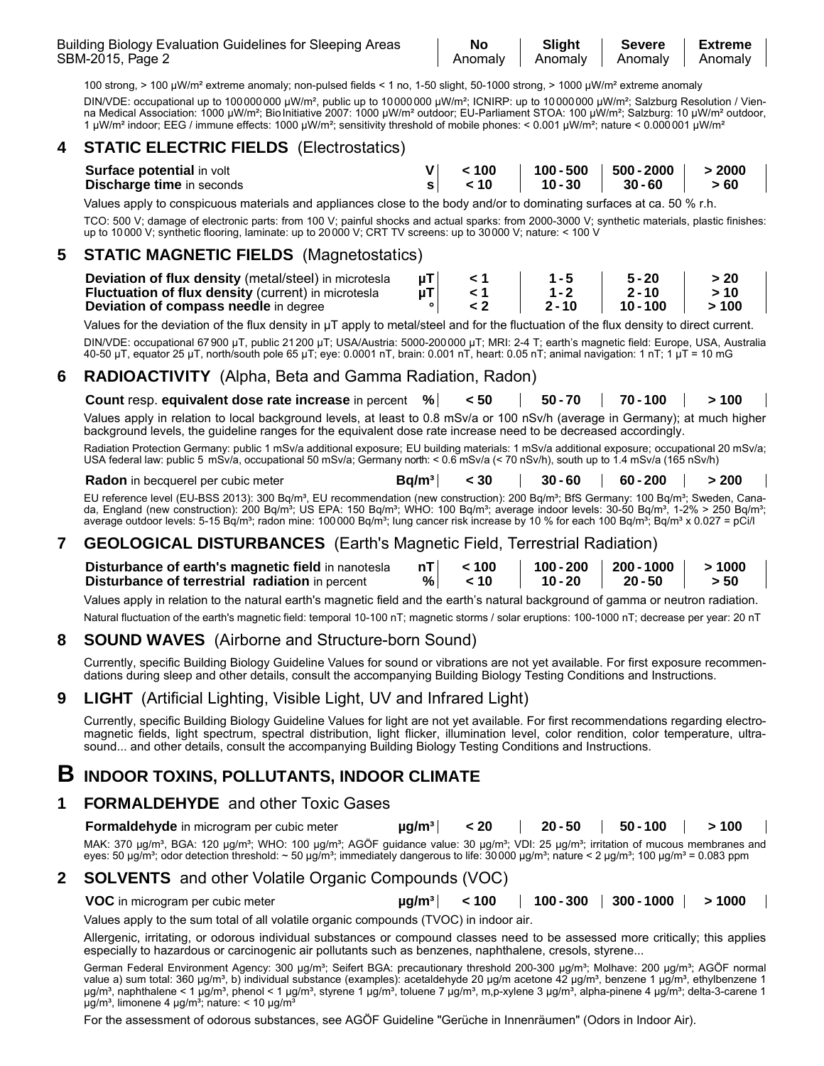| <b>No</b> | Slight  | Severe  | Extreme |
|-----------|---------|---------|---------|
| Anomaly   | Anomaly | Anomaly | Anomaly |

100 strong, > 100 µW/m² extreme anomaly; non-pulsed fields < 1 no, 1-50 slight, 50-1000 strong, > 1000 µW/m² extreme anomaly

DIN/VDE: occupational up to 10000000 µW/m<sup>2</sup>, public up to 10000000 µW/m<sup>2</sup>; ICNIRP: up to 10000000 µW/m<sup>2</sup>; Salzburg Resolution / Vienna Medical Association: 1000 μW/m<sup>2</sup>; Bio Initiative 2007: 1000 μW/m<sup>2</sup> outdoor; EU-Parliament STOA: 100 μW/m<sup>2</sup>; Salzburg: 10 μW/m<sup>2</sup> outdoor, 1 µW/m² indoor; EEG / immune effects: 1000 µW/m²; sensitivity threshold of mobile phones: < 0.001 µW/m²; nature < 0.000001 µW/m²

### **4 STATIC ELECTRIC FIELDS** (Electrostatics)

| <b>Surface potential in volt</b> | $V \sim 100$           | 100 - 500   500 - 2000   > 2000          |  |
|----------------------------------|------------------------|------------------------------------------|--|
| <b>Discharge time in seconds</b> | $\vert$ s $\vert$ < 10 | $\vert$ 10-30 $\vert$ 30-60 $\vert$ > 60 |  |

Values apply to conspicuous materials and appliances close to the body and/or to dominating surfaces at ca. 50 % r.h.

 TCO: 500 V; damage of electronic parts: from 100 V; painful shocks and actual sparks: from 2000-3000 V; synthetic materials, plastic finishes: up to 10000 V; synthetic flooring, laminate: up to 20000 V; CRT TV screens: up to 30000 V; nature: < 100 V

### **5 STATIC MAGNETIC FIELDS** (Magnetostatics)

| Deviation of flux density (metal/steel) in microtesla      |  | $1 - 5$  | $5 - 20$   | > 20 |
|------------------------------------------------------------|--|----------|------------|------|
| <b>Fluctuation of flux density (current) in microtesla</b> |  | 1 - 2    | $2 - 10$   | >10  |
| <b>Deviation of compass needle in degree</b>               |  | $2 - 10$ | $10 - 100$ | >100 |

Values for the deviation of the flux density in  $\mu$ T apply to metal/steel and for the fluctuation of the flux density to direct current. DIN/VDE: occupational 67900 µT, public 21200 µT; USA/Austria: 5000-200000 µT; MRI: 2-4 T; earth's magnetic field: Europe, USA, Australia 40-50 µT, equator 25 µT, north/south pole 65 µT; eye: 0.0001 nT, brain: 0.001 nT, heart: 0.05 nT; animal navigation: 1 nT; 1 µT = 10 mG

### **6 RADIOACTIVITY** (Alpha, Beta and Gamma Radiation, Radon)

**Count** resp. **equivalent dose rate increase** in percent **% < 50 50 - 70 70 - 100 > 100** Values apply in relation to local background levels, at least to 0.8 mSv/a or 100 nSv/h (average in Germany); at much higher background levels, the guideline ranges for the equivalent dose rate increase need to be decreased accordingly.

 Radiation Protection Germany: public 1 mSv/a additional exposure; EU building materials: 1 mSv/a additional exposure; occupational 20 mSv/a; USA federal law: public 5 mSv/a, occupational 50 mSv/a; Germany north: < 0.6 mSv/a (< 70 nSv/h), south up to 1.4 mSv/a (165 nSv/h)

| <b>Radon</b> in becquerel per cubic meter |  |   | $\text{Bq/m}^3$ < 30   30 - 60   60 - 200   > 200 |  |
|-------------------------------------------|--|---|---------------------------------------------------|--|
| ____                                      |  | . |                                                   |  |

EU reference level (EU-BSS 2013): 300 Bq/m<sup>3</sup>, EU recommendation (new construction): 200 Bq/m<sup>3</sup>; BfS Germany: 100 Bq/m<sup>3</sup>; Sweden, Canada, England (new construction): 200 Bq/m<sup>3</sup>; US EPA: 150 Bq/m<sup>3</sup>; WHO: 100 Bq/m<sup>3</sup>; average indoor levels: 30-50 Bq/m<sup>3</sup>, 1-2% > 250 Bq/m<sup>3</sup>; average outdoor levels: 5-15 Bq/m<sup>a</sup>; radon mine: 100 000 Bq/m<sup>a</sup>; lung cancer risk increase by 10 % for each 100 Bq/m<sup>a</sup>; Bq/m<sup>a</sup> x 0.027 = pCi/l

### **7 GEOLOGICAL DISTURBANCES** (Earth's Magnetic Field, Terrestrial Radiation)

| Disturbance of earth's magnetic field in nanotesla $nT$   $\leq 100$   100 - 200   200 - 1000   > 1000 |   |      |                 |         |      |  |
|--------------------------------------------------------------------------------------------------------|---|------|-----------------|---------|------|--|
| Disturbance of terrestrial radiation in percent                                                        | % | < 10 | $\vert$ 10 - 20 | 20-50 I | > 50 |  |

Values apply in relation to the natural earth's magnetic field and the earth's natural background of gamma or neutron radiation. Natural fluctuation of the earth's magnetic field: temporal 10-100 nT; magnetic storms / solar eruptions: 100-1000 nT; decrease per year: 20 nT

### **8 SOUND WAVES** (Airborne and Structure-born Sound)

 Currently, specific Building Biology Guideline Values for sound or vibrations are not yet available. For first exposure recommendations during sleep and other details, consult the accompanying Building Biology Testing Conditions and Instructions.

### **9 LIGHT** (Artificial Lighting, Visible Light, UV and Infrared Light)

 Currently, specific Building Biology Guideline Values for light are not yet available. For first recommendations regarding electromagnetic fields, light spectrum, spectral distribution, light flicker, illumination level, color rendition, color temperature, ultrasound... and other details, consult the accompanying Building Biology Testing Conditions and Instructions.

### **B INDOOR TOXINS, POLLUTANTS, INDOOR CLIMATE**

### **1 FORMALDEHYDE** and other Toxic Gases

**Formaldehyde** in microgram per cubic meter *µg/m***<sup>3</sup> | < 20 | 20 - 50 | 50 - 100 | > 100** MAK: 370 µg/m<sup>3</sup>, BGA: 120 µg/m<sup>3</sup>; WHO: 100 µg/m<sup>3</sup>; AGÖF guidance value: 30 µg/m<sup>3</sup>; VDI: 25 µg/m<sup>3</sup>; irritation of mucous membranes and eyes: 50 µg/m<sup>3</sup>; odor detection threshold: ~ 50 µg/m<sup>3</sup>; immediately dangerous to life: 30000 µg/m<sup>3</sup>; nature < 2 µg/m<sup>3</sup>; 100 µg/m<sup>3</sup> = 0.083 ppm

### **2 SOLVENTS** and other Volatile Organic Compounds (VOC)

**VOC** in microgram per cubic meter **µg/m³ < 100 100 - 300 300 - 1000 > 1000**

Values apply to the sum total of all volatile organic compounds (TVOC) in indoor air.

 Allergenic, irritating, or odorous individual substances or compound classes need to be assessed more critically; this applies especially to hazardous or carcinogenic air pollutants such as benzenes, naphthalene, cresols, styrene...

German Federal Environment Agency: 300 μg/m<sup>a</sup>; Seifert BGA: precautionary threshold 200-300 μg/m<sup>a</sup>; Molhave: 200 μg/m<sup>a</sup>; AGÖF normal value a) sum total: 360 μg/m<sup>3</sup>, b) individual substance (examples): acetaldehyde 20 μg/m acetone 42 μg/m<sup>3</sup>, benzene 1 μg/m<sup>3</sup>, ethylbenzene 1 μg/mª, naphthalene < 1 μg/mª, phenol < 1 μg/mª, styrene 1 μg/mª, toluene 7 μg/mª, m,p-xylene 3 μg/mª, alpha-pinene 4 μg/mª; delta-3-carene 1 μg/m<sup>3</sup>, limonene 4 μg/m<sup>3</sup>; nature: < 10 μg/m<sup>3</sup>

For the assessment of odorous substances, see AGÖF Guideline "Gerüche in Innenräumen" (Odors in Indoor Air).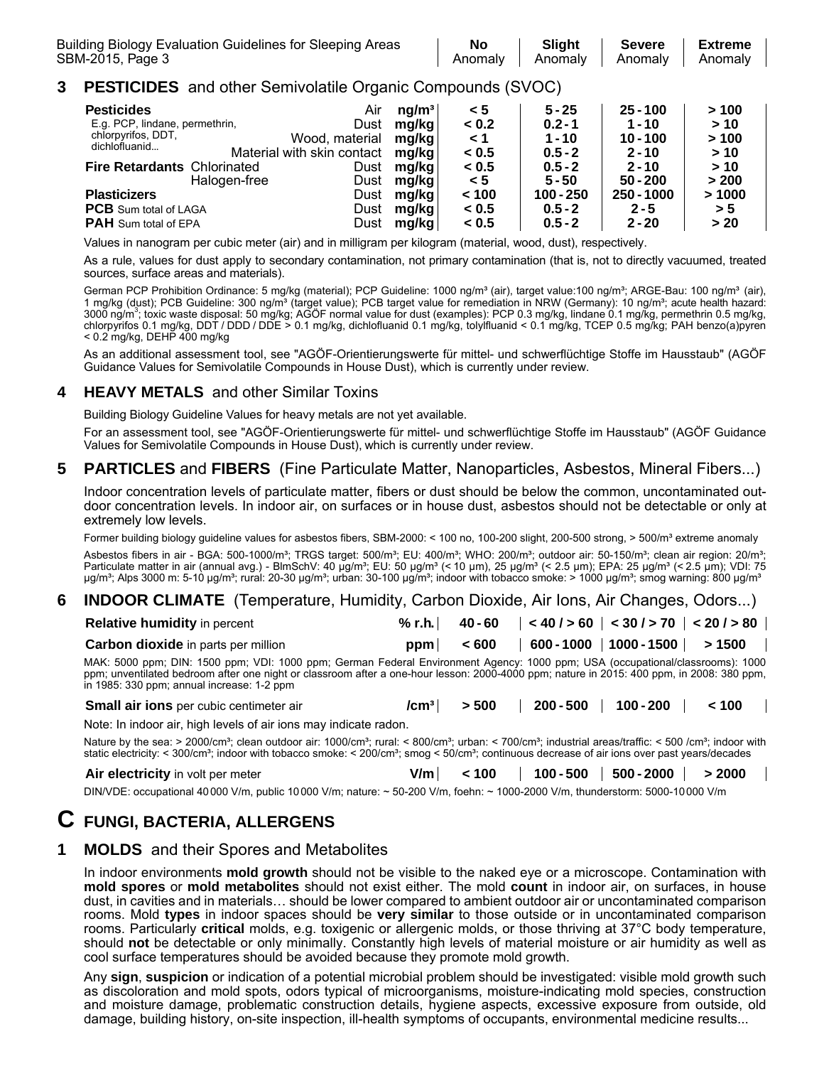| <b>Building Biology Evaluation Guidelines for Sleeping Areas</b> | No.                                   | Slight   Severe   Extreme |  |
|------------------------------------------------------------------|---------------------------------------|---------------------------|--|
| SBM-2015, Page 3                                                 | Anomaly   Anomaly   Anomaly   Anomaly |                           |  |

### **3 PESTICIDES** and other Semivolatile Organic Compounds (SVOC)

| <b>Pesticides</b><br>E.g. PCP, lindane, permethrin,<br>chlorpyrifos, DDT,<br>dichlofluanid<br>Material with skin contact | Air<br>Dust<br>Wood, material | nq/m <sup>3</sup><br>mg/kg<br>mq/kq  <br>mg/kg | < 5<br>< 0.2<br>$\leq 1$<br>< 0.5 | $5 - 25$<br>$0.2 - 1$<br>$1 - 10$<br>$0.5 - 2$ | $25 - 100$<br>$1 - 10$<br>$10 - 100$<br>$2 - 10$ | >100<br>> 10<br>>100<br>>10 |
|--------------------------------------------------------------------------------------------------------------------------|-------------------------------|------------------------------------------------|-----------------------------------|------------------------------------------------|--------------------------------------------------|-----------------------------|
| <b>Fire Retardants Chlorinated</b>                                                                                       | Dust                          | mq/kq                                          | < 0.5                             | $0.5 - 2$                                      | $2 - 10$                                         | >10                         |
| Halogen-free                                                                                                             | Dust                          | mq/kq                                          | < 5                               | $5 - 50$                                       | $50 - 200$                                       | > 200                       |
| <b>Plasticizers</b>                                                                                                      | Dust                          | mg/kg                                          | < 100                             | $100 - 250$                                    | $250 - 1000$                                     | >1000                       |
| <b>PCB</b> Sum total of LAGA                                                                                             | Dust                          | mq/kq                                          | < 0.5                             | $0.5 - 2$                                      | $2 - 5$                                          | > 5                         |
| <b>PAH</b> Sum total of EPA                                                                                              | Dust                          | mg/kg                                          | < 0.5                             | $0.5 - 2$                                      | $2 - 20$                                         | > 20                        |

Values in nanogram per cubic meter (air) and in milligram per kilogram (material, wood, dust), respectively.

 As a rule, values for dust apply to secondary contamination, not primary contamination (that is, not to directly vacuumed, treated sources, surface areas and materials).

German PCP Prohibition Ordinance: 5 mg/kg (material); PCP Guideline: 1000 ng/m<sup>3</sup> (air), target value:100 ng/m<sup>3</sup>; ARGE-Bau: 100 ng/m<sup>3</sup> (air), 1 mg/kg (dust); PCB Guideline: 300 ng/m<sup>3</sup> (target value); PCB target value of 1 mg/kg (dust); PCB Guideline: 300 ng/m<sup>a</sup> (target value); PCB target value for remediation in NRW (Germany): 10 ng/m<sup>a</sup>; acute health hazard:<br>3000 ng/m<sup>3</sup>; toxic waste disposal: 50 mg/kg; AGÖF normal value for dust (examp chlorpyrifos 0.1 mg/kg, DDT / DDD / DDE > 0.1 mg/kg, dichlofluanid 0.1 mg/kg, tolylfluanid < 0.1 mg/kg, TCEP 0.5 mg/kg; PAH benzo(a)pyren < 0.2 mg/kg, DEHP 400 mg/kg

 As an additional assessment tool, see "AGÖF-Orientierungswerte für mittel- und schwerflüchtige Stoffe im Hausstaub" (AGÖF Guidance Values for Semivolatile Compounds in House Dust), which is currently under review.

### **4 HEAVY METALS** and other Similar Toxins

Building Biology Guideline Values for heavy metals are not yet available.

 For an assessment tool, see "AGÖF-Orientierungswerte für mittel- und schwerflüchtige Stoffe im Hausstaub" (AGÖF Guidance Values for Semivolatile Compounds in House Dust), which is currently under review.

### **5 PARTICLES** and **FIBERS** (Fine Particulate Matter, Nanoparticles, Asbestos, Mineral Fibers...)

Indoor concentration levels of particulate matter, fibers or dust should be below the common, uncontaminated outdoor concentration levels. In indoor air, on surfaces or in house dust, asbestos should not be detectable or only at extremely low levels.

Former building biology guideline values for asbestos fibers, SBM-2000: < 100 no, 100-200 slight, 200-500 strong, > 500/m<sup>3</sup> extreme anomaly Asbestos fibers in air - BGA: 500-1000/m<sup>3</sup>; TRGS target: 500/m<sup>3</sup>; EU: 400/m<sup>3</sup>; WHO: 200/m<sup>3</sup>; outdoor air: 50-150/m<sup>3</sup>; clean air region: 20/m<sup>3</sup>; Particulate matter in air (annual avg.) - BlmSchV: 40 µg/m<sup>3</sup>; EU: 50 µg/m<sup>3</sup> (< 10 µm), 25 µg/m<sup>3</sup> (< 2.5 µm); EPA: 25 µg/m<sup>3</sup> (< 2.5 µm); VDI: 75 µg/mª; Alps 3000 m: 5-10 µg/mª; rural: 20-30 µg/mª; urban: 30-100 µg/mª; indoor with tobacco smoke: > 1000 µg/mª; smog warning: 800 µg/mª

### **6 INDOOR CLIMATE** (Temperature, Humidity, Carbon Dioxide, Air Ions, Air Changes, Odors...)

| <b>Relative humidity in percent</b>        |     | % r.h. $\vert$ 40 - 60 $\vert$ < 40 / > 60 $\vert$ < 30 / > 70 $\vert$ < 20 / > 80 |  |
|--------------------------------------------|-----|------------------------------------------------------------------------------------|--|
| <b>Carbon dioxide</b> in parts per million | ppm | $\frac{1}{1}$ < 600   600 - 1000   1000 - 1500   > 1500                            |  |

 MAK: 5000 ppm; DIN: 1500 ppm; VDI: 1000 ppm; German Federal Environment Agency: 1000 ppm; USA (occupational/classrooms): 1000 ppm; unventilated bedroom after one night or classroom after a one-hour lesson: 2000-4000 ppm; nature in 2015: 400 ppm, in 2008: 380 ppm, in 1985: 330 ppm; annual increase: 1-2 ppm

| Small air ions per cubic centimeter air |  | $ cm^3 $ > 500   200 - 500   100 - 200   < 100 |  |
|-----------------------------------------|--|------------------------------------------------|--|
|                                         |  |                                                |  |

Note: In indoor air, high levels of air ions may indicate radon.

Nature by the sea: > 2000/cm<sup>3</sup>; clean outdoor air: 1000/cm<sup>3</sup>; rural: < 800/cm<sup>3</sup>; urban: < 700/cm<sup>3</sup>; industrial areas/traffic: < 500 /cm<sup>3</sup>; indoor with static electricity: < 300/cm<sup>3</sup>; indoor with tobacco smoke: < 200/cm<sup>3</sup>; smog < 50/cm<sup>3</sup>; continuous decrease of air ions over past years/decades

**Air electricity** in volt per meter **V/m < 100 100 - 500 500 - 2000 > 2000** DIN/VDE: occupational 40000 V/m, public 10000 V/m; nature: ~ 50-200 V/m, foehn: ~ 1000-2000 V/m, thunderstorm: 5000-10000 V/m

# **C FUNGI, BACTERIA, ALLERGENS**

### **1 MOLDS** and their Spores and Metabolites

 In indoor environments **mold growth** should not be visible to the naked eye or a microscope. Contamination with **mold spores** or **mold metabolites** should not exist either. The mold **count** in indoor air, on surfaces, in house dust, in cavities and in materials… should be lower compared to ambient outdoor air or uncontaminated comparison rooms. Mold **types** in indoor spaces should be **very similar** to those outside or in uncontaminated comparison rooms. Particularly **critical** molds, e.g. toxigenic or allergenic molds, or those thriving at 37°C body temperature, should **not** be detectable or only minimally. Constantly high levels of material moisture or air humidity as well as cool surface temperatures should be avoided because they promote mold growth.

 Any **sign**, **suspicion** or indication of a potential microbial problem should be investigated: visible mold growth such as discoloration and mold spots, odors typical of microorganisms, moisture-indicating mold species, construction and moisture damage, problematic construction details, hygiene aspects, excessive exposure from outside, old damage, building history, on-site inspection, ill-health symptoms of occupants, environmental medicine results...